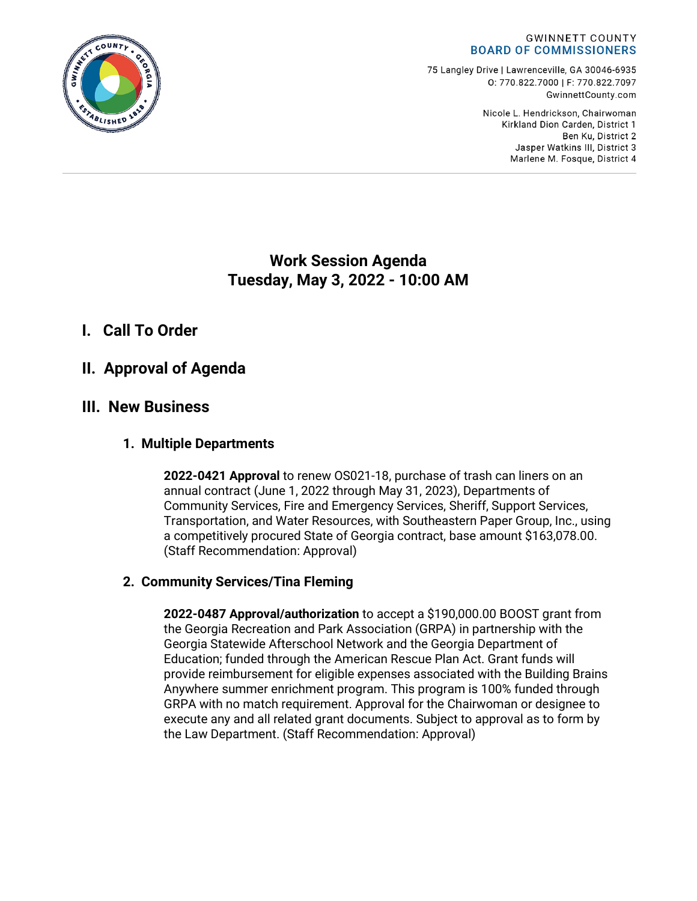

75 Langley Drive | Lawrenceville, GA 30046-6935 0: 770.822.7000 | F: 770.822.7097 GwinnettCounty.com

> Nicole L. Hendrickson, Chairwoman Kirkland Dion Carden, District 1 Ben Ku. District 2 Jasper Watkins III, District 3 Marlene M. Fosque, District 4

# **Work Session Agenda Tuesday, May 3, 2022 - 10:00 AM**

# **I. Call To Order**

# **II. Approval of Agenda**

# **III. New Business**

## **1. Multiple Departments**

**2022-0421 Approval** to renew OS021-18, purchase of trash can liners on an annual contract (June 1, 2022 through May 31, 2023), Departments of Community Services, Fire and Emergency Services, Sheriff, Support Services, Transportation, and Water Resources, with Southeastern Paper Group, Inc., using a competitively procured State of Georgia contract, base amount \$163,078.00. (Staff Recommendation: Approval)

## **2. Community Services/Tina Fleming**

**2022-0487 Approval/authorization** to accept a \$190,000.00 BOOST grant from the Georgia Recreation and Park Association (GRPA) in partnership with the Georgia Statewide Afterschool Network and the Georgia Department of Education; funded through the American Rescue Plan Act. Grant funds will provide reimbursement for eligible expenses associated with the Building Brains Anywhere summer enrichment program. This program is 100% funded through GRPA with no match requirement. Approval for the Chairwoman or designee to execute any and all related grant documents. Subject to approval as to form by the Law Department. (Staff Recommendation: Approval)

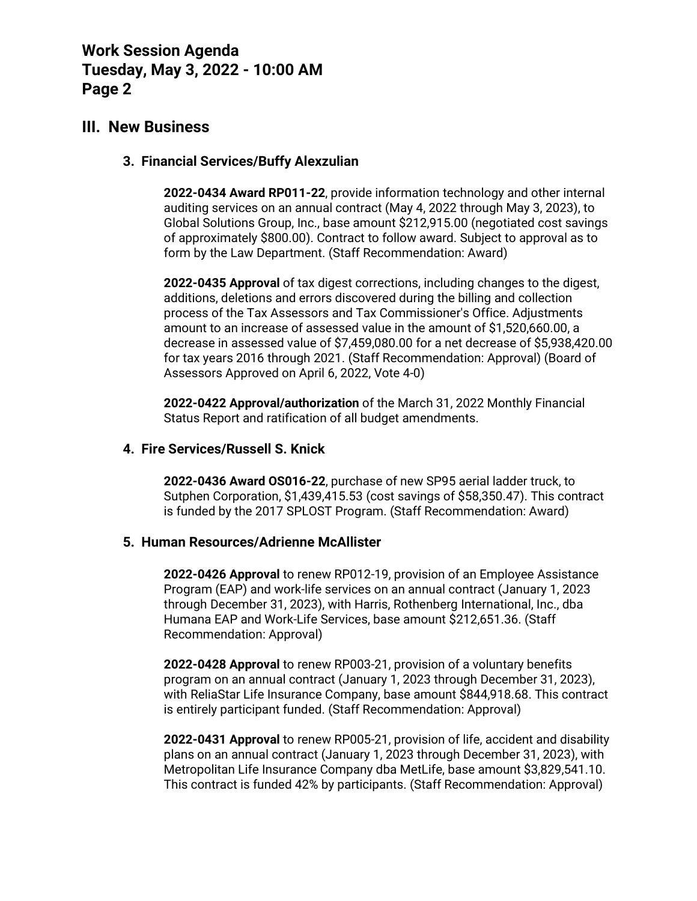# **Work Session Agenda Tuesday, May 3, 2022 - 10:00 AM Page 2**

## **III. New Business**

### **3. Financial Services/Buffy Alexzulian**

**2022-0434 Award RP011-22**, provide information technology and other internal auditing services on an annual contract (May 4, 2022 through May 3, 2023), to Global Solutions Group, Inc., base amount \$212,915.00 (negotiated cost savings of approximately \$800.00). Contract to follow award. Subject to approval as to form by the Law Department. (Staff Recommendation: Award)

**2022-0435 Approval** of tax digest corrections, including changes to the digest, additions, deletions and errors discovered during the billing and collection process of the Tax Assessors and Tax Commissioner's Office. Adjustments amount to an increase of assessed value in the amount of \$1,520,660.00, a decrease in assessed value of \$7,459,080.00 for a net decrease of \$5,938,420.00 for tax years 2016 through 2021. (Staff Recommendation: Approval) (Board of Assessors Approved on April 6, 2022, Vote 4-0)

**2022-0422 Approval/authorization** of the March 31, 2022 Monthly Financial Status Report and ratification of all budget amendments.

### **4. Fire Services/Russell S. Knick**

**2022-0436 Award OS016-22**, purchase of new SP95 aerial ladder truck, to Sutphen Corporation, \$1,439,415.53 (cost savings of \$58,350.47). This contract is funded by the 2017 SPLOST Program. (Staff Recommendation: Award)

#### **5. Human Resources/Adrienne McAllister**

**2022-0426 Approval** to renew RP012-19, provision of an Employee Assistance Program (EAP) and work-life services on an annual contract (January 1, 2023 through December 31, 2023), with Harris, Rothenberg International, Inc., dba Humana EAP and Work-Life Services, base amount \$212,651.36. (Staff Recommendation: Approval)

**2022-0428 Approval** to renew RP003-21, provision of a voluntary benefits program on an annual contract (January 1, 2023 through December 31, 2023), with ReliaStar Life Insurance Company, base amount \$844,918.68. This contract is entirely participant funded. (Staff Recommendation: Approval)

**2022-0431 Approval** to renew RP005-21, provision of life, accident and disability plans on an annual contract (January 1, 2023 through December 31, 2023), with Metropolitan Life Insurance Company dba MetLife, base amount \$3,829,541.10. This contract is funded 42% by participants. (Staff Recommendation: Approval)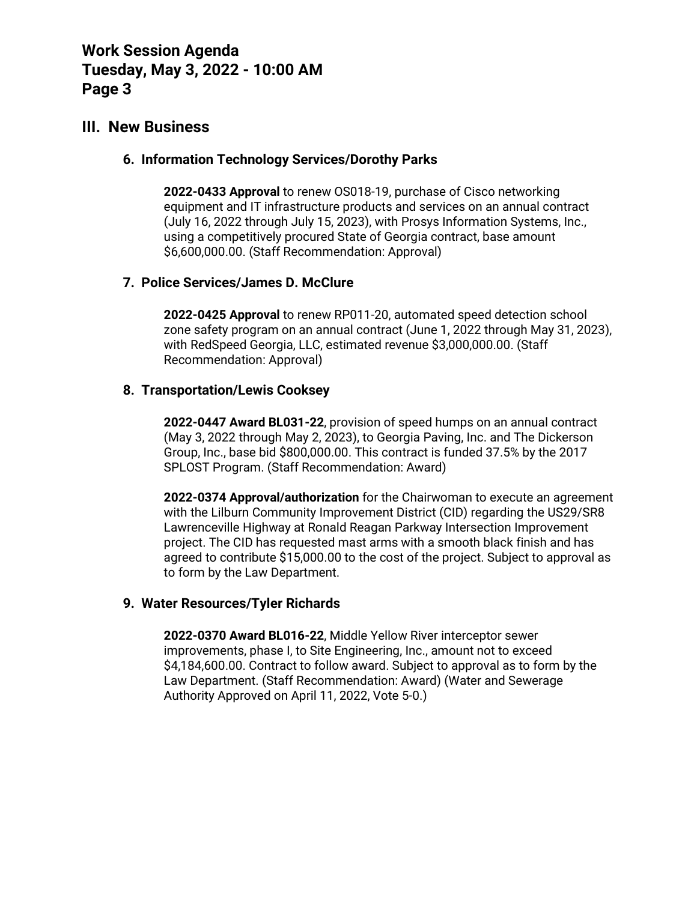# **Work Session Agenda Tuesday, May 3, 2022 - 10:00 AM Page 3**

# **III. New Business**

### **6. Information Technology Services/Dorothy Parks**

**2022-0433 Approval** to renew OS018-19, purchase of Cisco networking equipment and IT infrastructure products and services on an annual contract (July 16, 2022 through July 15, 2023), with Prosys Information Systems, Inc., using a competitively procured State of Georgia contract, base amount \$6,600,000.00. (Staff Recommendation: Approval)

## **7. Police Services/James D. McClure**

**2022-0425 Approval** to renew RP011-20, automated speed detection school zone safety program on an annual contract (June 1, 2022 through May 31, 2023), with RedSpeed Georgia, LLC, estimated revenue \$3,000,000.00. (Staff Recommendation: Approval)

### **8. Transportation/Lewis Cooksey**

**2022-0447 Award BL031-22**, provision of speed humps on an annual contract (May 3, 2022 through May 2, 2023), to Georgia Paving, Inc. and The Dickerson Group, Inc., base bid \$800,000.00. This contract is funded 37.5% by the 2017 SPLOST Program. (Staff Recommendation: Award)

**2022-0374 Approval/authorization** for the Chairwoman to execute an agreement with the Lilburn Community Improvement District (CID) regarding the US29/SR8 Lawrenceville Highway at Ronald Reagan Parkway Intersection Improvement project. The CID has requested mast arms with a smooth black finish and has agreed to contribute \$15,000.00 to the cost of the project. Subject to approval as to form by the Law Department.

## **9. Water Resources/Tyler Richards**

**2022-0370 Award BL016-22**, Middle Yellow River interceptor sewer improvements, phase I, to Site Engineering, Inc., amount not to exceed \$4,184,600.00. Contract to follow award. Subject to approval as to form by the Law Department. (Staff Recommendation: Award) (Water and Sewerage Authority Approved on April 11, 2022, Vote 5-0.)